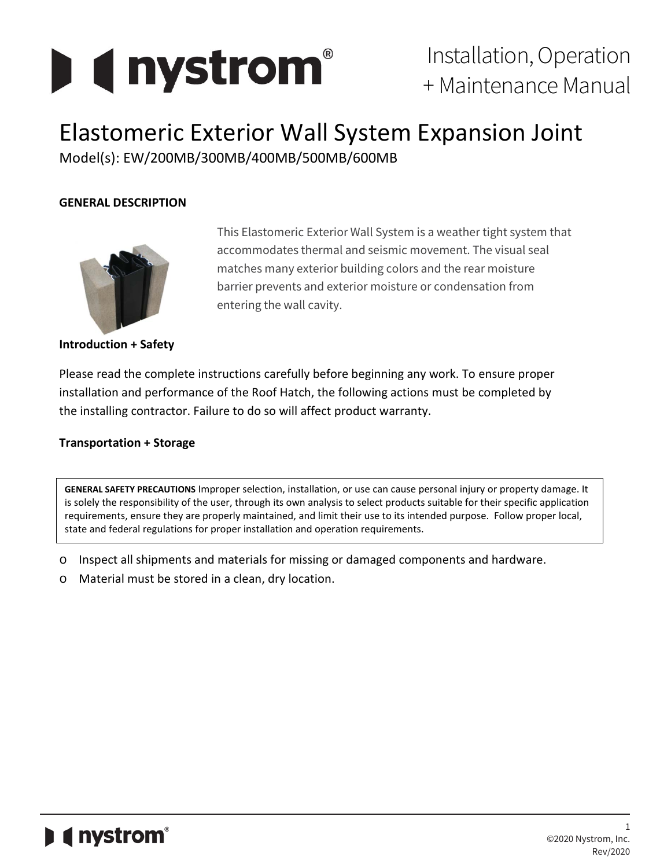

# Elastomeric Exterior Wall System Expansion Joint

Model(s): EW/200MB/300MB/400MB/500MB/600MB

# **GENERAL DESCRIPTION**



**Introduction + Safety**

This Elastomeric Exterior Wall System is a weather tight system that accommodates thermal and seismic movement. The visual seal matches many exterior building colors and the rear moisture barrier prevents and exterior moisture or condensation from entering the wall cavity.

Please read the complete instructions carefully before beginning any work. To ensure proper installation and performance of the Roof Hatch, the following actions must be completed by the installing contractor. Failure to do so will affect product warranty.

# **Transportation + Storage**

**GENERAL SAFETY PRECAUTIONS** Improper selection, installation, or use can cause personal injury or property damage. It is solely the responsibility of the user, through its own analysis to select products suitable for their specific application requirements, ensure they are properly maintained, and limit their use to its intended purpose. Follow proper local, state and federal regulations for proper installation and operation requirements.

- o Inspect all shipments and materials for missing or damaged components and hardware.
- o Material must be stored in a clean, dry location.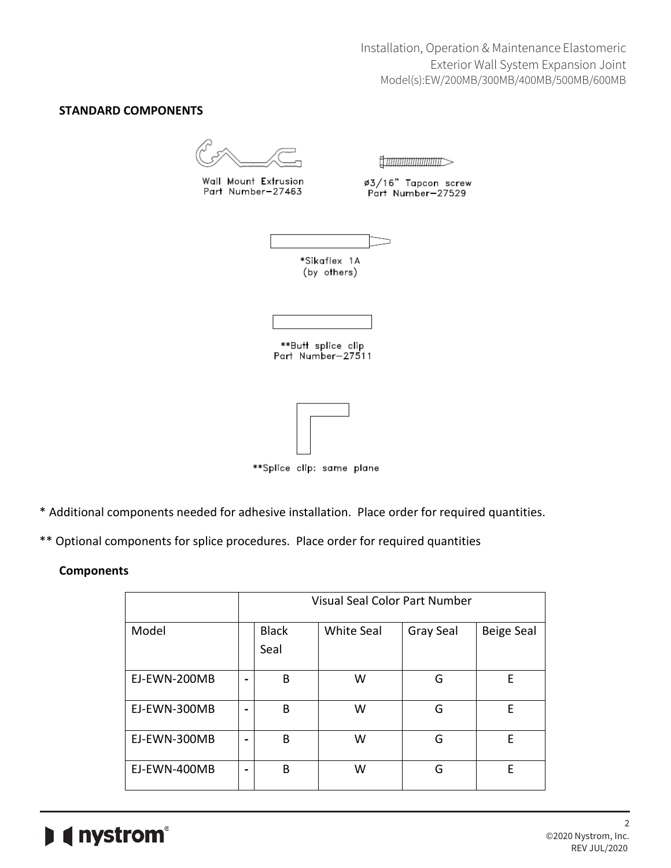Installation, Operation & Maintenance Elastomeric Exterior Wall System Expansion Joint Model(s):EW/200MB/300MB/400MB/500MB/600MB

#### **STANDARD COMPONENTS**

Wall Mount Extrusion Part Number-27463

fi*mmmmmm* 

ø3/16" Tapcon screw<br>Part Number—27529



\*\*Butt splice clip Part Number-27511



\*\*Splice clip: same plane

- \* Additional components needed for adhesive installation. Place order for required quantities.
- \*\* Optional components for splice procedures. Place order for required quantities

#### **Components**

|              | <b>Visual Seal Color Part Number</b> |                      |                   |           |                   |  |  |
|--------------|--------------------------------------|----------------------|-------------------|-----------|-------------------|--|--|
| Model        |                                      | <b>Black</b><br>Seal | <b>White Seal</b> | Gray Seal | <b>Beige Seal</b> |  |  |
| EJ-EWN-200MB | -                                    | B                    | W                 | G         | E                 |  |  |
| EJ-EWN-300MB | -                                    | B                    | W                 | G         | Е                 |  |  |
| EJ-EWN-300MB |                                      | B                    | W                 | G         | E                 |  |  |
| EJ-EWN-400MB | -                                    | B                    | W                 | G         | Е                 |  |  |

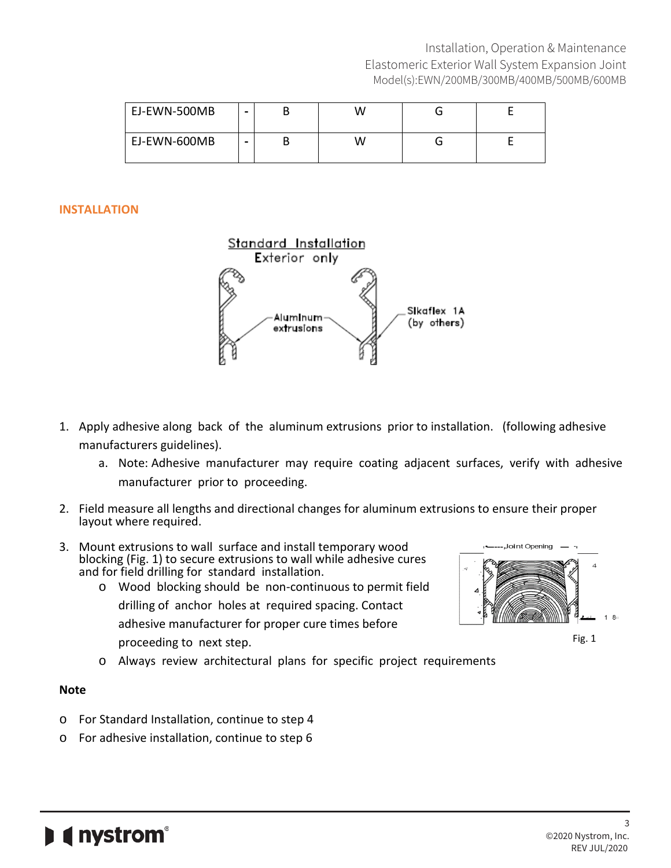| EJ-EWN-500MB | - | W |  |
|--------------|---|---|--|
| EJ-EWN-600MB | - | W |  |

### **INSTALLATION**



- 1. Apply adhesive along back of the aluminum extrusions prior to installation. (following adhesive manufacturers guidelines).
	- a. Note: Adhesive manufacturer may require coating adjacent surfaces, verify with adhesive manufacturer prior to proceeding.
- 2. Field measure all lengths and directional changes for aluminum extrusions to ensure their proper layout where required.
- 3. Mount extrusions to wall surface and install temporary wood blocking (Fig. 1) to secure extrusions to wall while adhesive cures and for field drilling for standard installation.
	- o Wood blocking should be non-continuous to permit field drilling of anchor holes at required spacing. Contact adhesive manufacturer for proper cure times before proceeding to next step.
	- o Always review architectural plans for specific project requirements

# **Note**

- o For Standard Installation, continue to step 4
- o For adhesive installation, continue to step 6



Fig. 1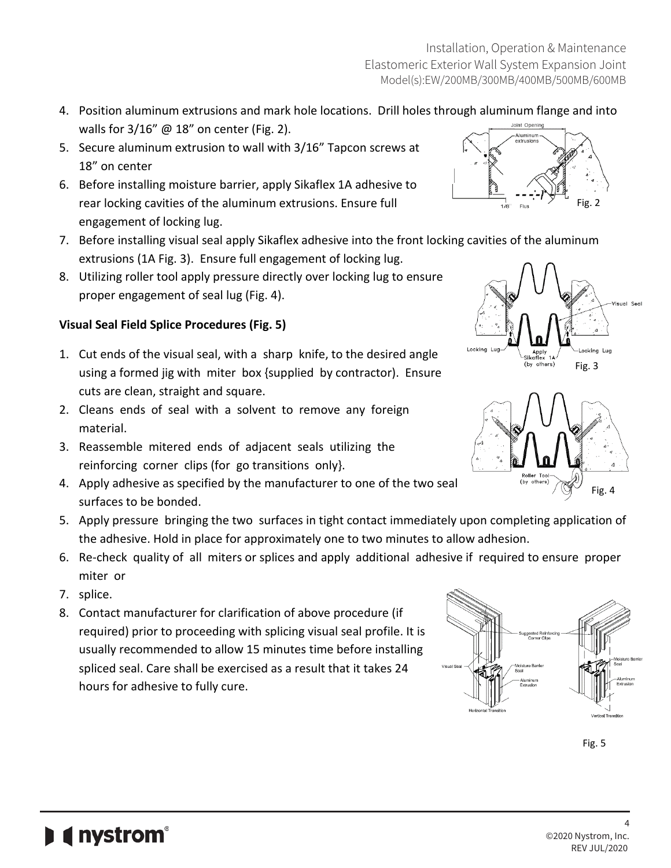- 4. Position aluminum extrusions and mark hole locations. Drill holes through aluminum flange and into walls for  $3/16''$  @ 18" on center (Fig. 2).
- 5. Secure aluminum extrusion to wall with 3/16" Tapcon screws at 18" on center
- 6. Before installing moisture barrier, apply Sikaflex 1A adhesive to rear locking cavities of the aluminum extrusions. Ensure full engagement of locking lug.
- 7. Before installing visual seal apply Sikaflex adhesive into the front locking cavities of the aluminum extrusions (1A Fig. 3). Ensure full engagement of locking lug.
- 8. Utilizing roller tool apply pressure directly over locking lug to ensure proper engagement of seal lug (Fig. 4).

# **Visual Seal Field Splice Procedures (Fig. 5)**

- 1. Cut ends of the visual seal, with a sharp knife, to the desired angle using a formed jig with miter box {supplied by contractor). Ensure cuts are clean, straight and square.
- 2. Cleans ends of seal with a solvent to remove any foreign material.
- 3. Reassemble mitered ends of adjacent seals utilizing the reinforcing corner clips (for go transitions only}.
- 4. Apply adhesive as specified by the manufacturer to one of the two seal surfaces to be bonded.
- 5. Apply pressure bringing the two surfaces in tight contact immediately upon completing application of the adhesive. Hold in place for approximately one to two minutes to allow adhesion.
- 6. Re-check quality of all miters or splices and apply additional adhesive if required to ensure proper miter or
- 7. splice.
- 8. Contact manufacturer for clarification of above procedure (if required) prior to proceeding with splicing visual seal profile. It is usually recommended to allow 15 minutes time before installing spliced seal. Care shall be exercised as a result that it takes 24 hours for adhesive to fully cure.





Fig. 3

İsual Sea